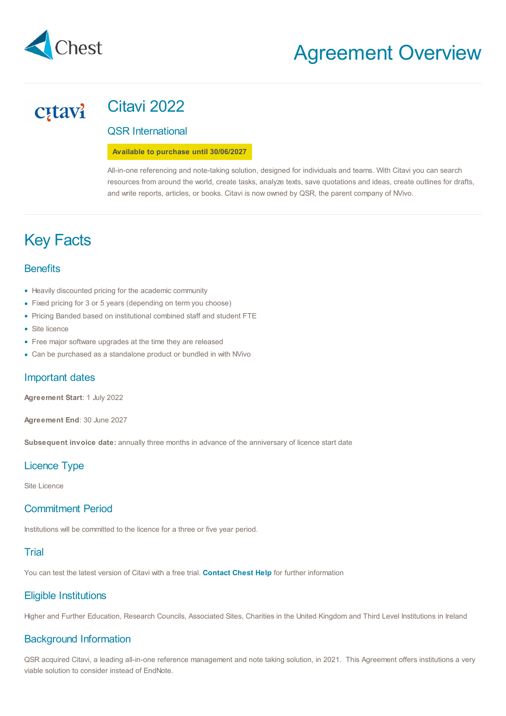

## Citavi 2022 **C**tavi

QSR International

**Available to purchase until 30/06/2027**

All-in-one referencing and note-taking solution, designed for individuals and teams. With Citavi you can search resources from around the world, create tasks, analyze texts, save quotations and ideas, create outlines for drafts, and write reports, articles, or books. Citavi is now owned by QSR, the parent company of NVivo.

# Key Facts

## **Benefits**

- Heavily discounted pricing for the academic community
- Fixed pricing for 3 or 5 years (depending on term you choose)
- Pricing Banded based on institutional combined staff and student FTE
- Site licence
- Free major software upgrades at the time they are released •
- Can be purchased as a standalone product or bundled in with NVivo •

## Important dates

**Agreement Start**: 1 July 2022

**Agreement End**: 30 June 2027

**Subsequent invoice date:** annually three months in advance of the anniversary of licence start date

## Licence Type

Site Licence

## Commitment Period

Institutions will be committed to the licence for a three or five year period.

## **Trial**

You can test the latest version of Citavi with a free trial. **[Contact](mailto:help@chest.ac.uk) Chest Help** for further information

## Eligible Institutions

Higher and Further Education, Research Councils, Associated Sites, Charities in the United Kingdom and Third Level Institutions in Ireland

## Background Information

QSR acquired Citavi, a leading all-in-one reference management and note taking solution, in 2021. This Agreement offers institutions a very viable solution to consider instead of EndNote.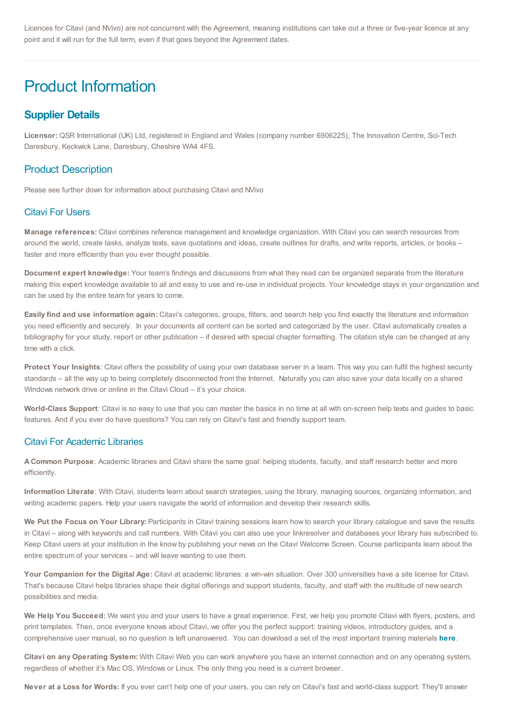Licences for Citavi (and NVivo) are not concurrent with the Agreement, meaning institutions can take out a three or five-year licence at any point and it will run for the full term, even if that goes beyond the Agreement dates.

# Product Information

## **Supplier Details**

**Licensor:** QSR International (UK) Ltd, registered in England and Wales (company number 6906225), The Innovation Centre, Sci-Tech Daresbury, Keckwick Lane, Daresbury, Cheshire WA4 4FS.

## Product Description

Please see further down for information about purchasing Citavi and NVivo

#### Citavi For Users

**Manage references:** Citavi combines reference management and knowledge organization. With Citavi you can search resources from around the world, create tasks, analyze texts, save quotations and ideas, create outlines for drafts, and write reports, articles, or books – faster and more efficiently than you ever thought possible.

**Document expert knowledge:** Your team's findings and discussions from what they read can be organized separate from the literature making this expert knowledge available to all and easy to use and re-use in individual projects. Your knowledge stays in your organization and can be used by the entire team for years to come.

**Easily find and use information again:** Citavi's categories, groups, filters, and search help you find exactly the literature and information you need efficiently and securely. In your documents all content can be sorted and categorized by the user. Citavi automatically creates a bibliography for your study, report or other publication – if desired with special chapter formatting. The citation style can be changed at any time with a click.

**Protect Your Insights**: Citavi offers the possibility of using your own database server in a team. This way you can fulfil the highest security standards – all the way up to being completely disconnected from the Internet. Naturally you can also save your data locally on a shared Windows network drive or online in the Citavi Cloud – it's your choice.

**World-Class Support**: Citavi is so easy to use that you can master the basics in no time at all with on-screen help texts and guides to basic features. And if you ever do have questions? You can rely on Citavi's fast and friendly support team.

#### Citavi For Academic Libraries

**A Common Purpose**: Academic libraries and Citavi share the same goal: helping students, faculty, and staff research better and more efficiently.

**Information Literate**: With Citavi, students learn about search strategies, using the library, managing sources, organizing information, and writing academic papers. Help your users navigate the world of information and develop their research skills.

**We Put the Focus on Your Library:** Participants in Citavi training sessions learn how to search your library catalogue and save the results in Citavi – along with keywords and call numbers. With Citavi you can also use your linkresolver and databases your library has subscribed to. Keep Citavi users at your institution in the know by publishing your news on the Citavi Welcome Screen. Course participants learn about the entire spectrum of your services – and will leave wanting to use them.

**Your Companion for the Digital Age:** Citavi at academic libraries: a win-win situation. Over 300 universities have a site license for Citavi. That's because Citavi helps libraries shape their digital offerings and support students, faculty, and staff with the multitude of new search possibilities and media.

**We Help You Succeed:** We want you and your users to have a great experience. First, we help you promote Citavi with flyers, posters, and print templates. Then, once everyone knows about Citavi, we offer you the perfect support: training videos, introductory guides, and a comprehensive user manual, so no question is left unanswered. You can download a set of the most important training materials **[here](https://www.citavi.com/en/materials)**.

**Citavi on any Operating System:** With Citavi Web you can work anywhere you have an internet connection and on any operating system, regardless of whether it's Mac OS, Windows or Linux. The only thing you need is a current browser.

**Never at a Loss for Words:** If you ever can't help one of your users, you can rely on Citavi's fast and world-class support: They'll answer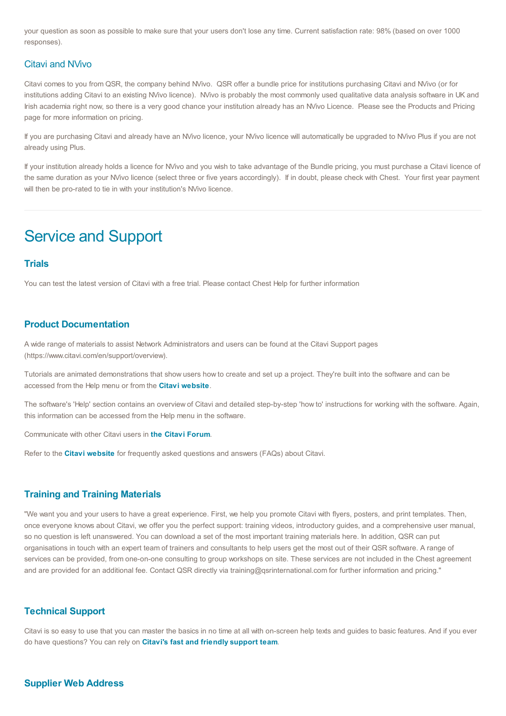your question as soon as possible to make sure that your users don't lose any time. Current satisfaction rate: 98% (based on over 1000 responses).

#### Citavi and NVivo

Citavi comes to you from QSR, the company behind NVivo. QSR offer a bundle price for institutions purchasing Citavi and NVivo (or for institutions adding Citavi to an existing NVivo licence). NVivo is probably the most commonly used qualitative data analysis software in UK and Irish academia right now, so there is a very good chance your institution already has an NVivo Licence. Please see the Products and Pricing page for more information on pricing.

If you are purchasing Citavi and already have an NVivo licence, your NVivo licence will automatically be upgraded to NVivo Plus if you are not already using Plus.

If your institution already holds a licence for NVivo and you wish to take advantage of the Bundle pricing, you must purchase a Citavi licence of the same duration as your NVivo licence (select three or five years accordingly). If in doubt, please check with Chest. Your first year payment will then be pro-rated to tie in with your institution's NVivo licence.

## Service and Support

#### **Trials**

You can test the latest version of Citavi with a free trial. Please contact Chest Help for further information

#### **Product Documentation**

A wide range of materials to assist Network Administrators and users can be found at the Citavi Support pages (https://www.citavi.com/en/support/overview).

Tutorials are animated demonstrations that show users how to create and set up a project. They're built into the software and can be accessed from the Help menu or from the **Citavi [website](https://www.citavi.com/en)**.

The software's 'Help' section contains an overview of Citavi and detailed step-by-step 'how to' instructions for working with the software. Again, this information can be accessed from the Help menu in the software.

Communicate with other Citavi users in **the Citavi [Forum](https://forums.citavibyqsr.com/)**.

Refer to the **Citavi [website](https://help.citavi.com/en/knowledge-base)** for frequently asked questions and answers (FAQs) about Citavi.

#### **Training and Training Materials**

"We want you and your users to have a great experience. First, we help you promote Citavi with flyers, posters, and print templates. Then, once everyone knows about Citavi, we offer you the perfect support: training videos, introductory guides, and a comprehensive user manual, so no question is left unanswered. You can download a set of the most important training materials here. In addition, QSR can put organisations in touch with an expert team of trainers and consultants to help users get the most out of their QSR software. A range of services can be provided, from one-on-one consulting to group workshops on site. These services are not included in the Chest agreement and are provided for an additional fee. Contact QSR directly via training@qsrinternational.com for further information and pricing."

#### **Technical Support**

Citavi is so easy to use that you can master the basics in no time at all with on-screen help texts and guides to basic features. And if you ever do have questions? You can rely on **Citavi's fast and friendly [support](https://www.citavi.com/en/support/overview) team**.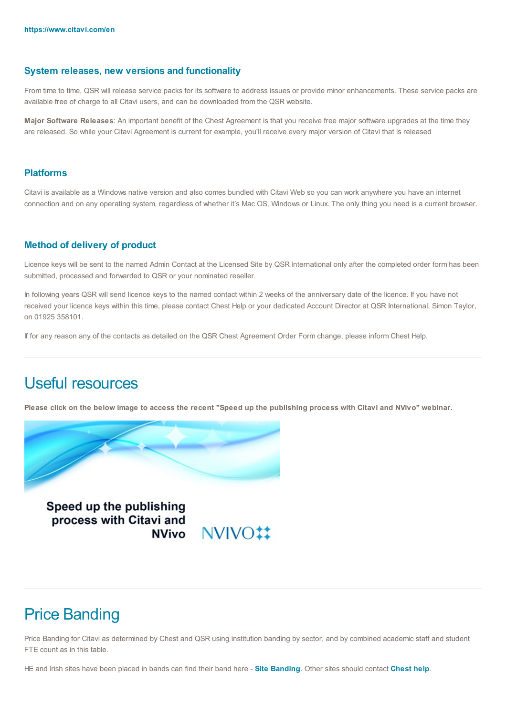#### **System releases, new versions and functionality**

From time to time, QSR will release service packs for its software to address issues or provide minor enhancements. These service packs are available free of charge to all Citavi users, and can be downloaded from the QSR website.

**Major Software Releases**: An important benefit of the Chest Agreement is that you receive free major software upgrades at the time they are released. So while your Citavi Agreement is current for example, you'll receive every major version of Citavi that is released

#### **Platforms**

Citavi is available as a Windows native version and also comes bundled with Citavi Web so you can work anywhere you have an internet connection and on any operating system, regardless of whether it's Mac OS, Windows or Linux. The only thing you need is a current browser.

#### **Method of delivery of product**

Licence keys will be sent to the named Admin Contact at the Licensed Site by QSR International only after the completed order form has been submitted, processed and forwarded to QSR or your nominated reseller.

In following years QSR will send licence keys to the named contact within 2 weeks of the anniversary date of the licence. If you have not received your licence keys within this time, please contact Chest Help or your dedicated Account Director at QSR International, Simon Taylor, on 01925 358101.

If for any reason any of the contacts as detailed on the QSR Chest Agreement Order Form change, please inform Chest Help.

# Useful resources

Please click on the below image to access the recent "Speed up the publishing process with Citavi and NVivo" webinar.



Speed up the publishing process with Citavi and

NVivo NVIVO!!

## Price Banding

Price Banding for Citavi as determined by Chest and QSR using institution banding by sector, and by combined academic staff and student FTE count as in this table.

HE and Irish sites have been placed in bands can find their band here - **Site [Banding](https://www.chest.ac.uk/media/3908/qsr-2022-site-band-list.pdf)**. Other sites should contact **[Chest](mailto:help@chest.ac.uk?subject=QSR%20NVivo%20Price%20Band%20enquiry) help**.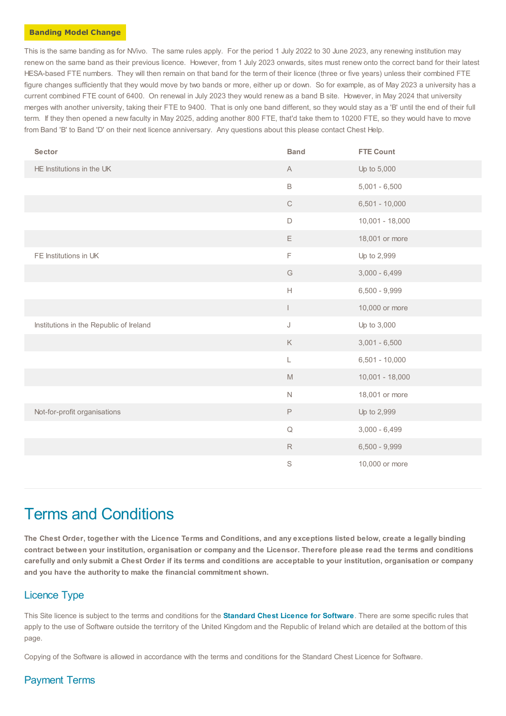#### **Banding Model Change**

This is the same banding as for NVivo. The same rules apply. For the period 1 July 2022 to 30 June 2023, any renewing institution may renew on the same band as their previous licence. However, from 1 July 2023 onwards, sites must renew onto the correct band for their latest HESA-based FTE numbers. They will then remain on that band for the term of their licence (three or five years) unless their combined FTE figure changes sufficiently that they would move by two bands or more, either up or down. So for example, as of May 2023 a university has a current combined FTE count of 6400. On renewal in July 2023 they would renew as a band B site. However, in May 2024 that university merges with another university, taking their FTE to 9400. That is only one band different, so they would stay as a 'B' until the end of their full term. If they then opened a new faculty in May 2025, adding another 800 FTE, that'd take them to 10200 FTE, so they would have to move from Band 'B' to Band 'D' on their next licence anniversary. Any questions about this please contact Chest Help.

| Sector                                  | <b>Band</b>                                                                                            | <b>FTE Count</b>  |
|-----------------------------------------|--------------------------------------------------------------------------------------------------------|-------------------|
| HE Institutions in the UK               | $\mathsf{A}% _{\mathsf{A}}^{\prime}=\mathsf{A}_{\mathsf{A}}^{\prime}=\mathsf{A}_{\mathsf{A}}^{\prime}$ | Up to 5,000       |
|                                         | $\mathsf B$                                                                                            | $5,001 - 6,500$   |
|                                         | $\mathbf C$                                                                                            | $6,501 - 10,000$  |
|                                         | $\mathsf D$                                                                                            | $10,001 - 18,000$ |
|                                         | E                                                                                                      | 18,001 or more    |
| FE Institutions in UK                   | F                                                                                                      | Up to 2,999       |
|                                         | $\mathbb{G}% _{\mathbb{Z}}$                                                                            | $3,000 - 6,499$   |
|                                         | $\mathsf{H}% _{0}\left( \mathcal{A}_{0}\right) =\mathsf{H}_{0}\left( \mathcal{A}_{0}\right)$           | $6,500 - 9,999$   |
|                                         | L                                                                                                      | 10,000 or more    |
| Institutions in the Republic of Ireland | J                                                                                                      | Up to 3,000       |
|                                         | $\mathsf K$                                                                                            | $3,001 - 6,500$   |
|                                         | L                                                                                                      | $6,501 - 10,000$  |
|                                         | $\mathbb M$                                                                                            | $10,001 - 18,000$ |
|                                         | $\hbox{N}$                                                                                             | 18,001 or more    |
| Not-for-profit organisations            | $\mathsf P$                                                                                            | Up to 2,999       |
|                                         | $\hbox{\large \bf Q}$                                                                                  | $3,000 - 6,499$   |
|                                         | $\mathsf R$                                                                                            | $6,500 - 9,999$   |
|                                         | S                                                                                                      | 10,000 or more    |

## Terms and Conditions

The Chest Order, together with the Licence Terms and Conditions, and any exceptions listed below, create a legally binding contract between your institution, organisation or company and the Licensor. Therefore please read the terms and conditions carefully and only submit a Chest Order if its terms and conditions are acceptable to your institution, organisation or company **and you have the authority to make the financial commitment shown.**

## Licence Type

This Site licence is subject to the terms and conditions for the **[Standard](https://www.chest.ac.uk/standard-software-licence/) Chest Licence for Software**. There are some specific rules that apply to the use of Software outside the territory of the United Kingdom and the Republic of Ireland which are detailed at the bottom of this page.

Copying of the Software is allowed in accordance with the terms and conditions for the Standard Chest Licence for Software.

## Payment Terms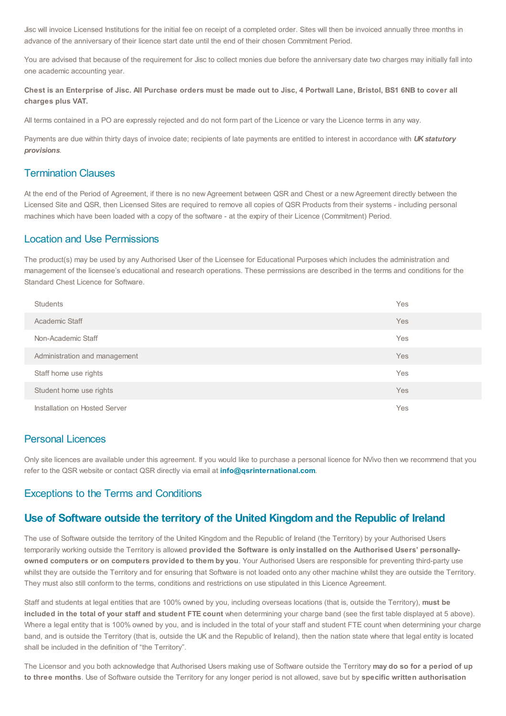Jisc will invoice Licensed Institutions for the initial fee on receipt of a completed order. Sites will then be invoiced annually three months in advance of the anniversary of their licence start date until the end of their chosen Commitment Period.

You are advised that because of the requirement for Jisc to collect monies due before the anniversary date two charges may initially fall into one academic accounting year.

Chest is an Enterprise of Jisc. All Purchase orders must be made out to Jisc. 4 Portwall Lane. Bristol. BS1 6NB to cover all **charges plus VAT.**

All terms contained in a PO are expressly rejected and do not form part of the Licence or vary the Licence terms in any way.

Payments are due within thirty days of invoice date; recipients of late payments are entitled to interest in accordance with *UK statutory provisions*.

#### Termination Clauses

At the end of the Period of Agreement, if there is no new Agreement between QSR and Chest or a new Agreement directly between the Licensed Site and QSR, then Licensed Sites are required to remove all copies of QSR Products from their systems - including personal machines which have been loaded with a copy of the software - at the expiry of their Licence (Commitment) Period.

## Location and Use Permissions

The product(s) may be used by any Authorised User of the Licensee for Educational Purposes which includes the administration and management of the licensee's educational and research operations. These permissions are described in the terms and conditions for the Standard Chest Licence for Software.

| <b>Students</b>               | Yes        |
|-------------------------------|------------|
| Academic Staff                | <b>Yes</b> |
| Non-Academic Staff            | Yes        |
| Administration and management | <b>Yes</b> |
| Staff home use rights         | Yes        |
| Student home use rights       | <b>Yes</b> |
| Installation on Hosted Server | Yes        |

## Personal Licences

Only site licences are available under this agreement. If you would like to purchase a personal licence for NVivo then we recommend that you refer to the QSR website or contact QSR directly via email at **[info@qsrinternational.com](mailto:info@qsrinternational.com)**.

#### Exceptions to the Terms and Conditions

## **Use of Software outside the territory of the United Kingdom and the Republic of Ireland**

The use of Software outside the territory of the United Kingdom and the Republic of Ireland (the Territory) by your Authorised Users temporarily working outside the Territory is allowed **provided the Software is only installed on the Authorised Users' personallyowned computers or on computers provided to them by you**. Your Authorised Users are responsible for preventing third-party use whilst they are outside the Territory and for ensuring that Software is not loaded onto any other machine whilst they are outside the Territory. They must also still conform to the terms, conditions and restrictions on use stipulated in this Licence Agreement.

Staff and students at legal entities that are 100% owned by you, including overseas locations (that is, outside the Territory), **must be included in the total of your staff and student FTE count** when determining your charge band (see the first table displayed at 5 above). Where a legal entity that is 100% owned by you, and is included in the total of your staff and student FTE count when determining your charge band, and is outside the Territory (that is, outside the UK and the Republic of Ireland), then the nation state where that legal entity is located shall be included in the definition of "the Territory".

The Licensor and you both acknowledge that Authorised Users making use of Software outside the Territory **may do so for a period of up to three months**. Use of Software outside the Territory for any longer period is not allowed, save but by **specific written authorisation**